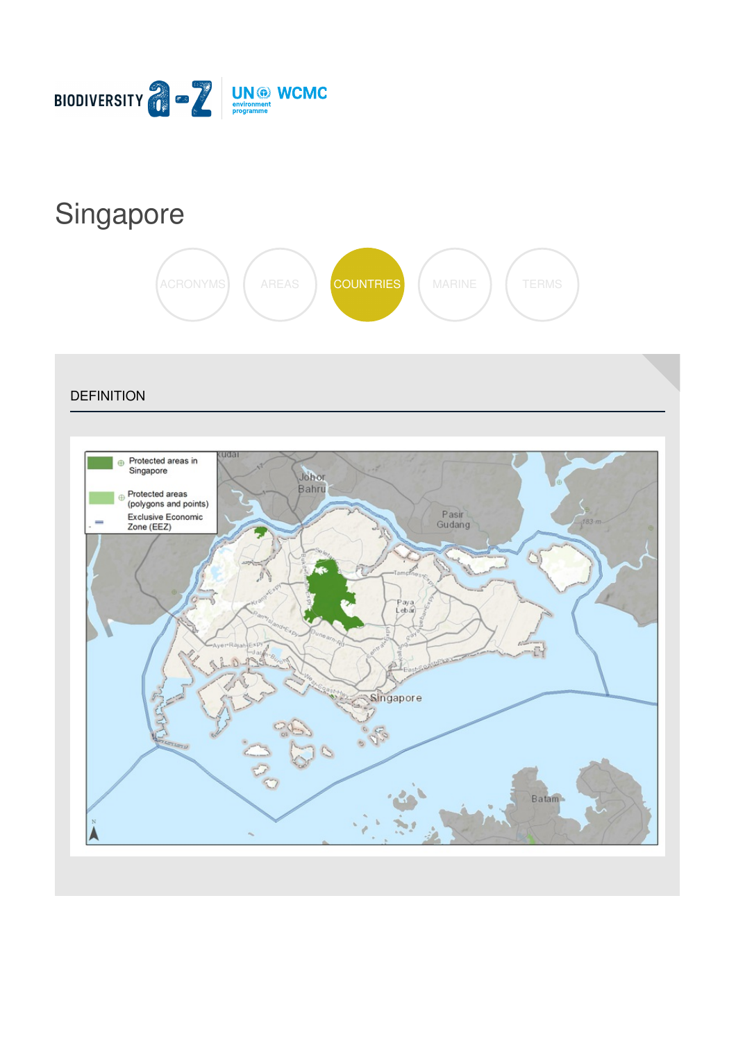

# [Singapore](https://biodiversitya-z.org/content/singapore)



**DEFINITION** 

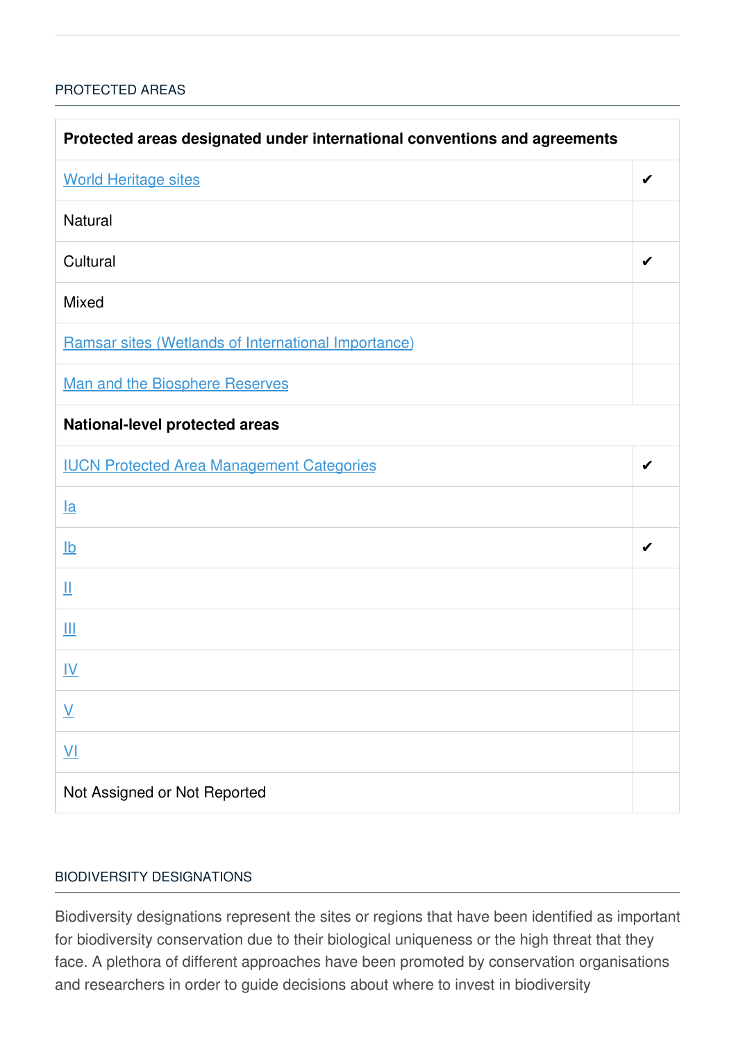## [PROTECTED](javascript:void(0)) AREAS

| Protected areas designated under international conventions and agreements |   |  |
|---------------------------------------------------------------------------|---|--|
| <b>World Heritage sites</b>                                               | ✔ |  |
| <b>Natural</b>                                                            |   |  |
| Cultural                                                                  | ✔ |  |
| <b>Mixed</b>                                                              |   |  |
| Ramsar sites (Wetlands of International Importance)                       |   |  |
| <b>Man and the Biosphere Reserves</b>                                     |   |  |
| <b>National-level protected areas</b>                                     |   |  |
| <b>IUCN Protected Area Management Categories</b>                          | ✔ |  |
| $l$ a                                                                     |   |  |
| $\underline{\mathsf{lb}}$                                                 | ✔ |  |
| Щ                                                                         |   |  |
| Ш                                                                         |   |  |
| <u>IV</u>                                                                 |   |  |
| $\underline{\mathsf{V}}$                                                  |   |  |
| $\underline{V}$                                                           |   |  |
| Not Assigned or Not Reported                                              |   |  |

## BIODIVERSITY [DESIGNATIONS](javascript:void(0))

Biodiversity designations represent the sites or regions that have been identified as important for biodiversity conservation due to their biological uniqueness or the high threat that they face. A plethora of different approaches have been promoted by conservation organisations and researchers in order to guide decisions about where to invest in biodiversity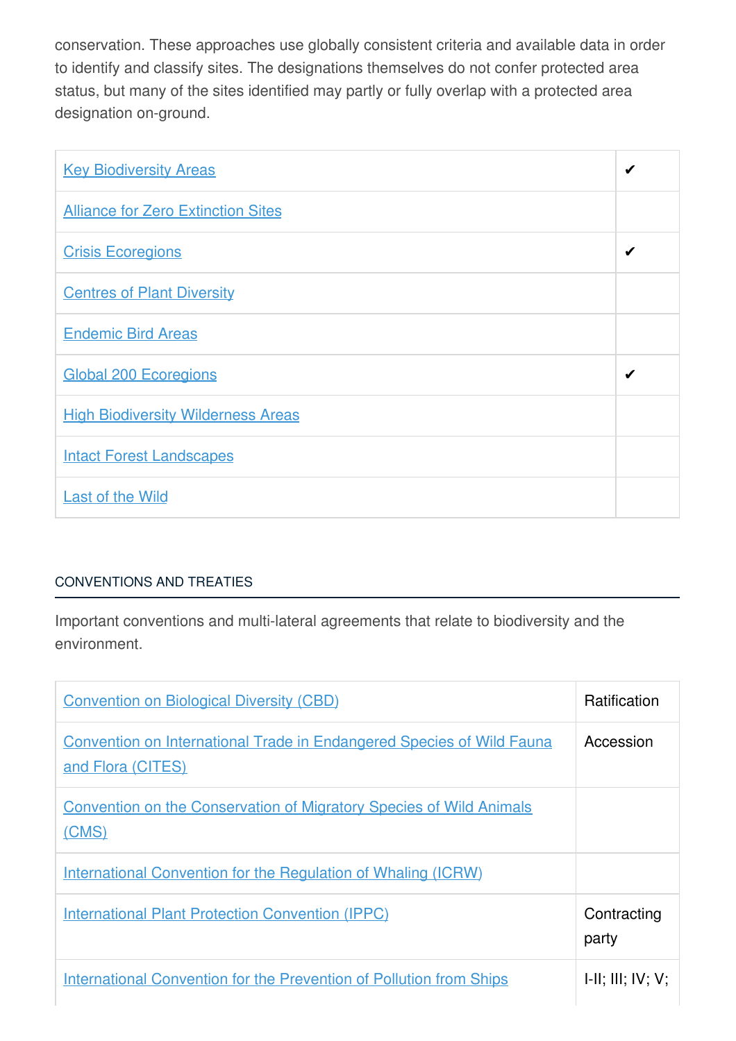conservation. These approaches use globally consistent criteria and available data in order to identify and classify sites. The designations themselves do not confer protected area status, but many of the sites identified may partly or fully overlap with a protected area designation on-ground.

| <b>Key Biodiversity Areas</b>             | ✔ |
|-------------------------------------------|---|
| <b>Alliance for Zero Extinction Sites</b> |   |
| <b>Crisis Ecoregions</b>                  | ✔ |
| <b>Centres of Plant Diversity</b>         |   |
| <b>Endemic Bird Areas</b>                 |   |
| <b>Global 200 Ecoregions</b>              | ✔ |
| <b>High Biodiversity Wilderness Areas</b> |   |
| <b>Intact Forest Landscapes</b>           |   |
| <b>Last of the Wild</b>                   |   |

# [CONVENTIONS](javascript:void(0)) AND TREATIES

Important conventions and multi-lateral agreements that relate to biodiversity and the environment.

| <b>Convention on Biological Diversity (CBD)</b>                                                   | <b>Ratification</b>  |
|---------------------------------------------------------------------------------------------------|----------------------|
| <b>Convention on International Trade in Endangered Species of Wild Fauna</b><br>and Flora (CITES) | Accession            |
| <b>Convention on the Conservation of Migratory Species of Wild Animals</b><br>(CMS)               |                      |
| <u>International Convention for the Regulation of Whaling (ICRW)</u>                              |                      |
| <b>International Plant Protection Convention (IPPC)</b>                                           | Contracting<br>party |
| <b>International Convention for the Prevention of Pollution from Ships</b>                        | H: III; IV; V;       |